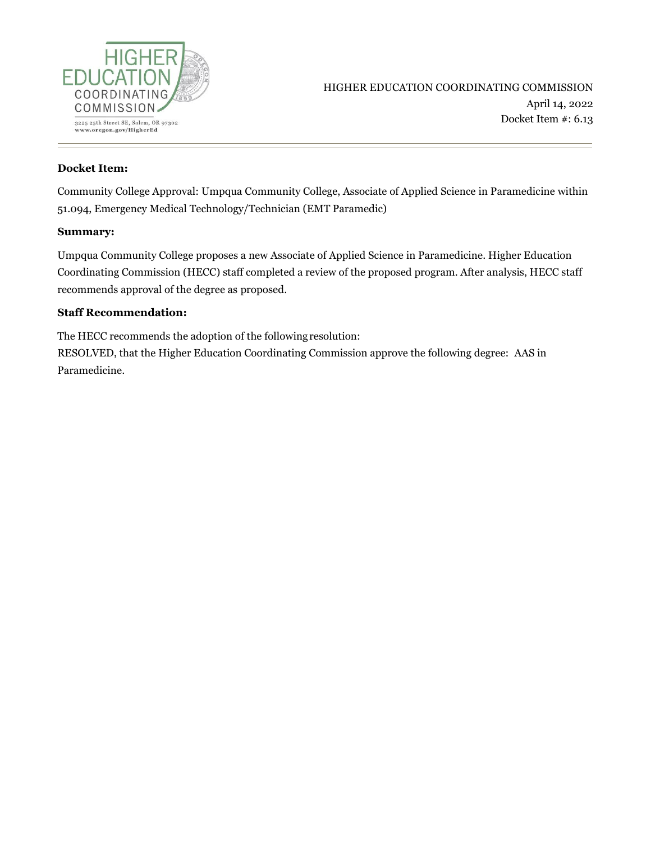

#### **Docket Item:**

Community College Approval: Umpqua Community College, Associate of Applied Science in Paramedicine within 51.094, Emergency Medical Technology/Technician (EMT Paramedic)

#### **Summary:**

Umpqua Community College proposes a new Associate of Applied Science in Paramedicine. Higher Education Coordinating Commission (HECC) staff completed a review of the proposed program. After analysis, HECC staff recommends approval of the degree as proposed.

#### **Staff Recommendation:**

The HECC recommends the adoption of the followingresolution: RESOLVED, that the Higher Education Coordinating Commission approve the following degree: AAS in Paramedicine.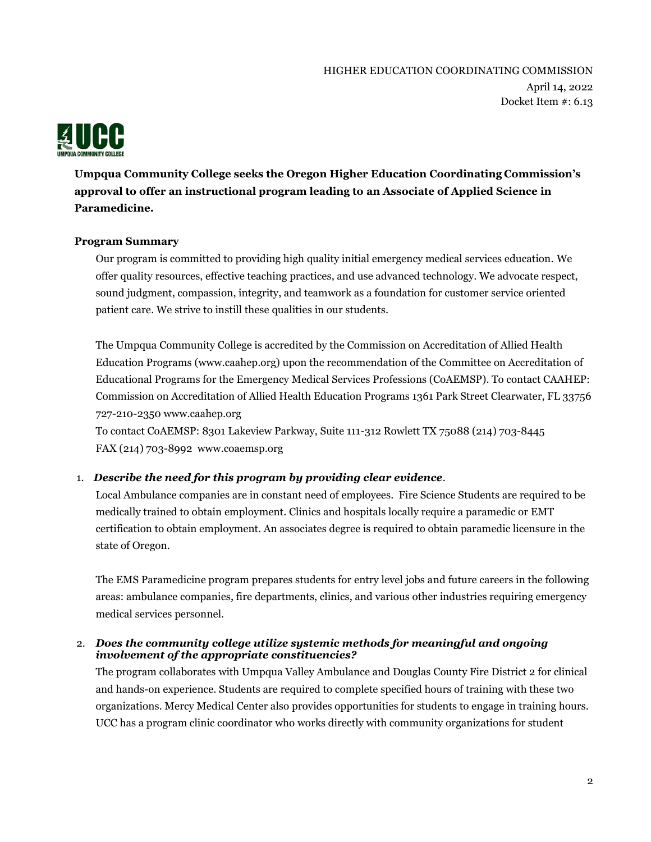

**Umpqua Community College seeks the Oregon Higher Education Coordinating Commission's approval to offer an instructional program leading to an Associate of Applied Science in Paramedicine.**

### **Program Summary**

Our program is committed to providing high quality initial emergency medical services education. We offer quality resources, effective teaching practices, and use advanced technology. We advocate respect, sound judgment, compassion, integrity, and teamwork as a foundation for customer service oriented patient care. We strive to instill these qualities in our students.

The Umpqua Community College is accredited by the Commission on Accreditation of Allied Health Education Programs (www.caahep.org) upon the recommendation of the Committee on Accreditation of Educational Programs for the Emergency Medical Services Professions (CoAEMSP). To contact CAAHEP: Commission on Accreditation of Allied Health Education Programs 1361 Park Street Clearwater, FL 33756 727-210-2350 www.caahep.org

To contact CoAEMSP: 8301 Lakeview Parkway, Suite 111-312 Rowlett TX 75088 (214) 703-8445 FAX (214) 703-8992 www.coaemsp.org

#### 1. *Describe the need for this program by providing clear evidence.*

Local Ambulance companies are in constant need of employees. Fire Science Students are required to be medically trained to obtain employment. Clinics and hospitals locally require a paramedic or EMT certification to obtain employment. An associates degree is required to obtain paramedic licensure in the state of Oregon.

The EMS Paramedicine program prepares students for entry level jobs and future careers in the following areas: ambulance companies, fire departments, clinics, and various other industries requiring emergency medical services personnel.

#### 2. *Does the community college utilize systemic methods for meaningful and ongoing involvement of the appropriate constituencies?*

The program collaborates with Umpqua Valley Ambulance and Douglas County Fire District 2 for clinical and hands-on experience. Students are required to complete specified hours of training with these two organizations. Mercy Medical Center also provides opportunities for students to engage in training hours. UCC has a program clinic coordinator who works directly with community organizations for student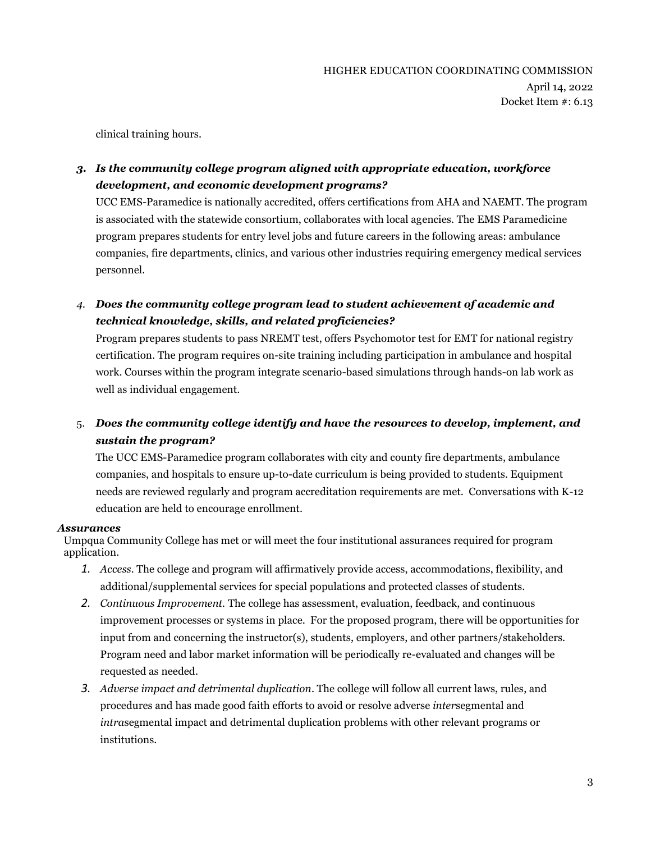clinical training hours.

## *3. Is the community college program aligned with appropriate education, workforce development, and economic development programs?*

UCC EMS-Paramedice is nationally accredited, offers certifications from AHA and NAEMT. The program is associated with the statewide consortium, collaborates with local agencies. The EMS Paramedicine program prepares students for entry level jobs and future careers in the following areas: ambulance companies, fire departments, clinics, and various other industries requiring emergency medical services personnel.

*4. Does the community college program lead to student achievement of academic and technical knowledge, skills, and related proficiencies?*

Program prepares students to pass NREMT test, offers Psychomotor test for EMT for national registry certification. The program requires on-site training including participation in ambulance and hospital work. Courses within the program integrate scenario-based simulations through hands-on lab work as well as individual engagement.

# 5. *Does the community college identify and have the resources to develop, implement, and sustain the program?*

The UCC EMS-Paramedice program collaborates with city and county fire departments, ambulance companies, and hospitals to ensure up-to-date curriculum is being provided to students. Equipment needs are reviewed regularly and program accreditation requirements are met. Conversations with K-12 education are held to encourage enrollment.

### *Assurances*

Umpqua Community College has met or will meet the four institutional assurances required for program application.

- *1. Access.* The college and program will affirmatively provide access, accommodations, flexibility, and additional/supplemental services for special populations and protected classes of students.
- *2. Continuous Improvement.* The college has assessment, evaluation, feedback, and continuous improvement processes or systems in place. For the proposed program, there will be opportunities for input from and concerning the instructor(s), students, employers, and other partners/stakeholders. Program need and labor market information will be periodically re-evaluated and changes will be requested as needed.
- *3. Adverse impact and detrimental duplication*. The college will follow all current laws, rules, and procedures and has made good faith efforts to avoid or resolve adverse *inter*segmental and *intra*segmental impact and detrimental duplication problems with other relevant programs or institutions.